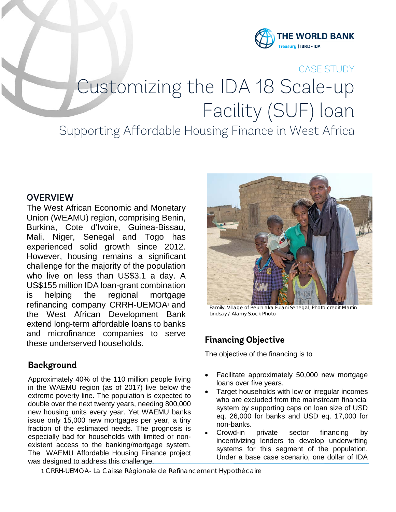

# CASE STUDY Customizing the IDA 18 Scale-up Facility (SUF) loan

## Supporting Affordable Housing Finance in West Africa

#### **OVERVIEW**

The West African Economic and Monetary Union (WEAMU) region, comprising Benin, Burkina, Cote d'Ivoire, Guinea-Bissau, Mali, Niger, Senegal and Togo has experienced solid growth since 2012. However, housing remains a significant challenge for the majority of the population who live on less than US\$3.1 a day. A US\$155 million IDA loan-grant combination is helping the regional mortgage refinancing company CRRH-UEMOA<sup>1</sup> and the West African Development Bank extend long-term affordable loans to banks and microfinance companies to serve these underserved households.

#### **Background**

Approximately 40% of the 110 million people living in the WAEMU region (as of 2017) live below the extreme poverty line. The population is expected to double over the next twenty years, needing 800,000 new housing units every year. Yet WAEMU banks issue only 15,000 new mortgages per year, a tiny fraction of the estimated needs. The prognosis is especially bad for households with limited or nonexistent access to the banking/mortgage system. The WAEMU Affordable Housing Finance project was designed to address this challenge.



Family, Village of Peulh aka Fulani Senegal, Photo credit Martin Lindsay / Alamy Stock Photo

### **Financing Objective**

The objective of the financing is to

- Facilitate approximately 50,000 new mortgage loans over five years.
- Target households with low or irregular incomes who are excluded from the mainstream financial system by supporting caps on loan size of USD eq. 26,000 for banks and USD eq. 17,000 for non-banks.
- Crowd-in private sector financing by incentivizing lenders to develop underwriting systems for this segment of the population. Under a base case scenario, one dollar of IDA

1 CRRH-UEMOA- La Caisse Régionale de Refinancement Hypothécaire